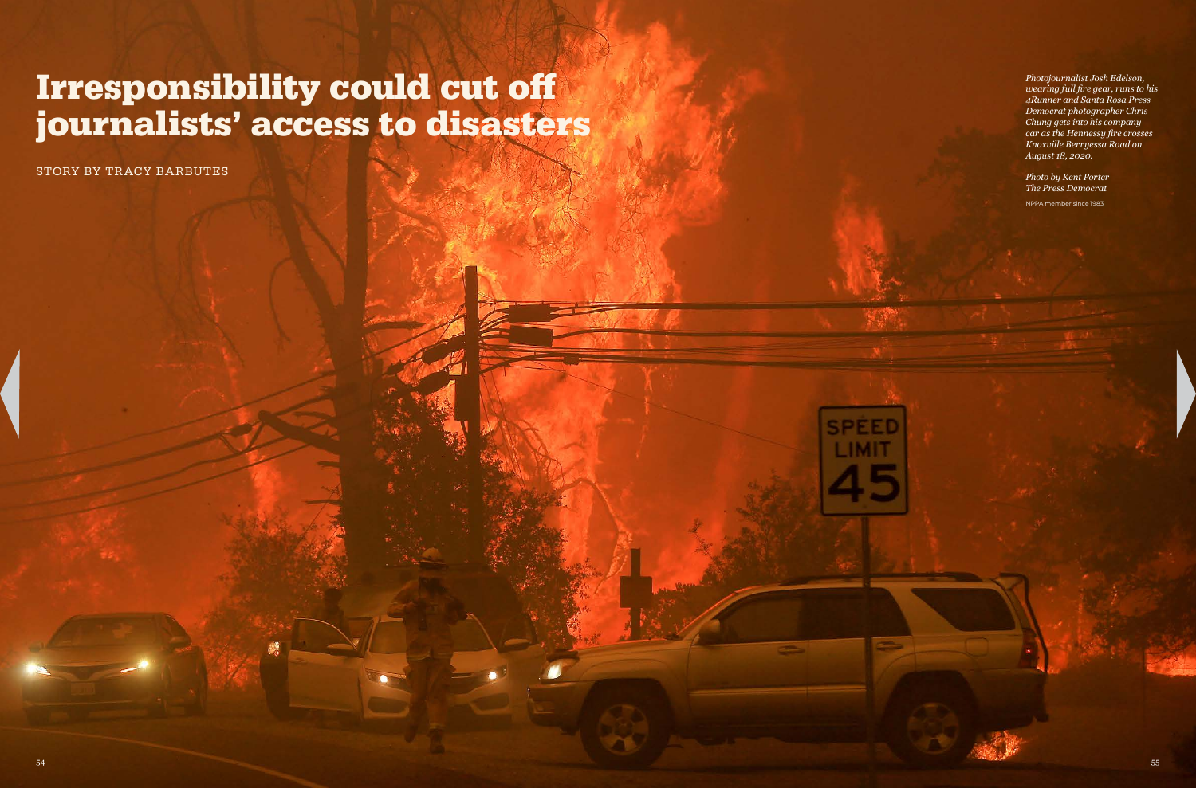January-February 2021 News Photographer January-February 2021 News Photographer

# Irresponsibility could cut off journalists' access to disasters

*Photojournalist Josh Edelson, wearing full fire gear, runs to his 4Runner and Santa Rosa Press Democrat photographer Chris Chung gets into his company car as the Hennessy fire crosses Knoxville Berryessa Road on August 18, 2020.*

### *Photo by Kent Porter The Press Democrat*

NPPA member since 1983

STORY BY TRACY BARBUTES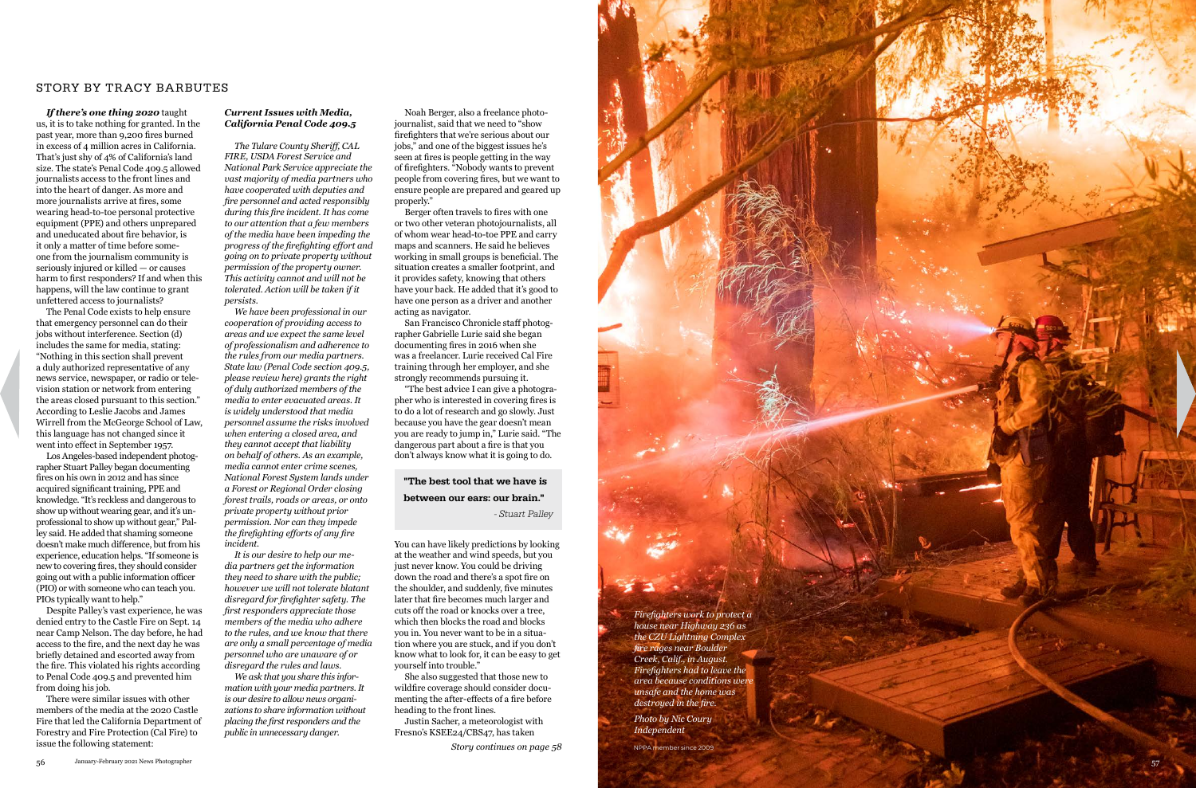*If there's one thing 2020* taught us, it is to take nothing for granted. In the past year, more than 9,200 fires burned in excess of 4 million acres in California. That's just shy of 4% of California's land size. The state's Penal Code 409.5 allowed journalists access to the front lines and into the heart of danger. As more and more journalists arrive at fires, some wearing head-to-toe personal protective equipment (PPE) and others unprepared and uneducated about fire behavior, is it only a matter of time before some one from the journalism community is seriously injured or killed — or causes harm to first responders? If and when this happens, will the law continue to grant unfettered access to journalists?

The Penal Code exists to help ensure that emergency personnel can do their jobs without interference. Section (d) includes the same for media, stating: "Nothing in this section shall prevent a duly authorized representative of any news service, newspaper, or radio or tele vision station or network from entering the areas closed pursuant to this section." According to Leslie Jacobs and James Wirrell from the McGeorge School of Law, this language has not changed since it went into effect in September 1957.

Los Angeles-based independent photog rapher Stuart Palley began documenting fires on his own in 2012 and has since acquired significant training, PPE and knowledge. "It's reckless and dangerous to show up without wearing gear, and it's un professional to show up without gear," Pal ley said. He added that shaming someone doesn't make much difference, but from his experience, education helps. "If someone is new to covering fires, they should consider going out with a public information officer (PIO) or with someone who can teach you. PIOs typically want to help."

Despite Palley's vast experience, he was denied entry to the Castle Fire on Sept. 14 near Camp Nelson. The day before, he had access to the fire, and the next day he was briefly detained and escorted away from the fire. This violated his rights according to Penal Code 409.5 and prevented him from doing his job.

There were similar issues with other members of the media at the 2020 Castle Fire that led the California Department of Forestry and Fire Protection (Cal Fire) to issue the following statement: *Story continues on page 58*

Noah Berger, also a freelance photo journalist, said that we need to "show firefighters that we're serious about our jobs," and one of the biggest issues he's seen at fires is people getting in the way of firefighters. "Nobody wants to prevent people from covering fires, but we want to ensure people are prepared and geared up properly."

Berger often travels to fires with one or two other veteran photojournalists, all of whom wear head-to-toe PPE and carry maps and scanners. He said he believes working in small groups is beneficial. The situation creates a smaller footprint, and it provides safety, knowing that others have your back. He added that it's good to have one person as a driver and another acting as navigator.

San Francisco Chronicle staff photog rapher Gabrielle Lurie said she began documenting fires in 2016 when she was a freelancer. Lurie received Cal Fire training through her employer, and she strongly recommends pursuing it.



"The best advice I can give a photogra pher who is interested in covering fires is to do a lot of research and go slowly. Just because you have the gear doesn't mean you are ready to jump in," Lurie said. "The dangerous part about a fire is that you don't always know what it is going to do.

You can have likely predictions by looking at the weather and wind speeds, but you just never know. You could be driving down the road and there's a spot fire on the shoulder, and suddenly, five minutes later that fire becomes much larger and cuts off the road or knocks over a tree, which then blocks the road and blocks you in. You never want to be in a situa tion where you are stuck, and if you don't know what to look for, it can be easy to get yourself into trouble."

She also suggested that those new to wildfire coverage should consider docu menting the after-effects of a fire before heading to the front lines.

Justin Sacher, a meteorologist with Fresno's KSEE24/CBS47, has taken

# "The best tool that we have is between our ears: our brain."

- Stuart Palley

#### *Current Issues with Media, California Penal Code 409.5*

*The Tulare County Sheriff, CAL FIRE, USDA Forest Service and National Park Service appreciate the vast majority of media partners who have cooperated with deputies and fire personnel and acted responsibly during this fire incident. It has come to our attention that a few members of the media have been impeding the progress of the firefighting effort and going on to private property without permission of the property owner. This activity cannot and will not be tolerated. Action will be taken if it persists.*

*We have been professional in our cooperation of providing access to areas and we expect the same level of professionalism and adherence to the rules from our media partners. State law (Penal Code section 409.5, please review here) grants the right of duly authorized members of the media to enter evacuated areas. It is widely understood that media personnel assume the risks involved when entering a closed area, and they cannot accept that liability on behalf of others. As an example, media cannot enter crime scenes, National Forest System lands under a Forest or Regional Order closing forest trails, roads or areas, or onto private property without prior permission. Nor can they impede the firefighting efforts of any fire incident.*

*It is our desire to help our me dia partners get the information they need to share with the public; however we will not tolerate blatant disregard for firefighter safety. The first responders appreciate those members of the media who adhere to the rules, and we know that there are only a small percentage of media personnel who are unaware of or disregard the rules and laws.*

*We ask that you share this infor mation with your media partners. It is our desire to allow news organi zations to share information without placing the first responders and the public in unnecessary danger.*

# STORY BY TRACY BARBUTES